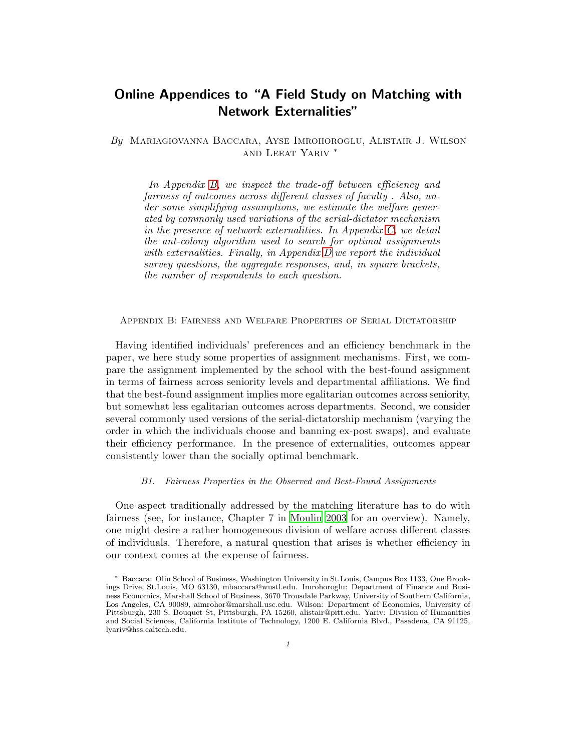# Online Appendices to "A Field Study on Matching with Network Externalities"

*By* Mariagiovanna Baccara, Ayse Imrohoroglu, Alistair J. Wilson and Leeat Yariv <sup>∗</sup>

*In Appendix [B,](#page-0-0) we inspect the trade-off between efficiency and fairness of outcomes across different classes of faculty . Also, under some simplifying assumptions, we estimate the welfare generated by commonly used variations of the serial-dictator mechanism in the presence of network externalities. In Appendix [C,](#page-6-0) we detail the ant-colony algorithm used to search for optimal assignments with externalities. Finally, in Appendix [D](#page-10-0) we report the individual survey questions, the aggregate responses, and, in square brackets, the number of respondents to each question.*

<span id="page-0-0"></span>Appendix B: Fairness and Welfare Properties of Serial Dictatorship

Having identified individuals' preferences and an efficiency benchmark in the paper, we here study some properties of assignment mechanisms. First, we compare the assignment implemented by the school with the best-found assignment in terms of fairness across seniority levels and departmental affiliations. We find that the best-found assignment implies more egalitarian outcomes across seniority, but somewhat less egalitarian outcomes across departments. Second, we consider several commonly used versions of the serial-dictatorship mechanism (varying the order in which the individuals choose and banning ex-post swaps), and evaluate their efficiency performance. In the presence of externalities, outcomes appear consistently lower than the socially optimal benchmark.

# *B1. Fairness Properties in the Observed and Best-Found Assignments*

One aspect traditionally addressed by the matching literature has to do with fairness (see, for instance, Chapter 7 in [Moulin 2003](#page-13-0) for an overview). Namely, one might desire a rather homogeneous division of welfare across different classes of individuals. Therefore, a natural question that arises is whether efficiency in our context comes at the expense of fairness.

<sup>∗</sup> Baccara: Olin School of Business, Washington University in St.Louis, Campus Box 1133, One Brookings Drive, St.Louis, MO 63130, mbaccara@wustl.edu. Imrohoroglu: Department of Finance and Business Economics, Marshall School of Business, 3670 Trousdale Parkway, University of Southern California, Los Angeles, CA 90089, aimrohor@marshall.usc.edu. Wilson: Department of Economics, University of Pittsburgh, 230 S. Bouquet St, Pittsburgh, PA 15260, alistair@pitt.edu. Yariv: Division of Humanities and Social Sciences, California Institute of Technology, 1200 E. California Blvd., Pasadena, CA 91125, lyariv@hss.caltech.edu.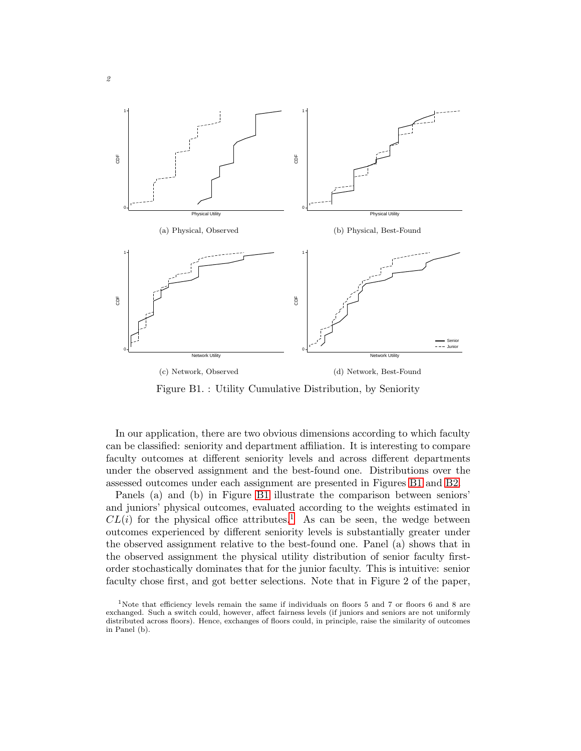<span id="page-1-0"></span>

Figure B1. : Utility Cumulative Distribution, by Seniority

In our application, there are two obvious dimensions according to which faculty can be classified: seniority and department affiliation. It is interesting to compare faculty outcomes at different seniority levels and across different departments under the observed assignment and the best-found one. Distributions over the assessed outcomes under each assignment are presented in Figures [B1](#page-1-0) and [B2.](#page-2-0)

Panels (a) and (b) in Figure [B1](#page-1-0) illustrate the comparison between seniors' and juniors' physical outcomes, evaluated according to the weights estimated in  $CL(i)$  for the physical office attributes.<sup>[1](#page-1-1)</sup> As can be seen, the wedge between outcomes experienced by different seniority levels is substantially greater under the observed assignment relative to the best-found one. Panel (a) shows that in the observed assignment the physical utility distribution of senior faculty firstorder stochastically dominates that for the junior faculty. This is intuitive: senior faculty chose first, and got better selections. Note that in Figure 2 of the paper,

<span id="page-1-1"></span><sup>&</sup>lt;sup>1</sup>Note that efficiency levels remain the same if individuals on floors 5 and 7 or floors 6 and 8 are exchanged. Such a switch could, however, affect fairness levels (if juniors and seniors are not uniformly distributed across floors). Hence, exchanges of floors could, in principle, raise the similarity of outcomes in Panel (b).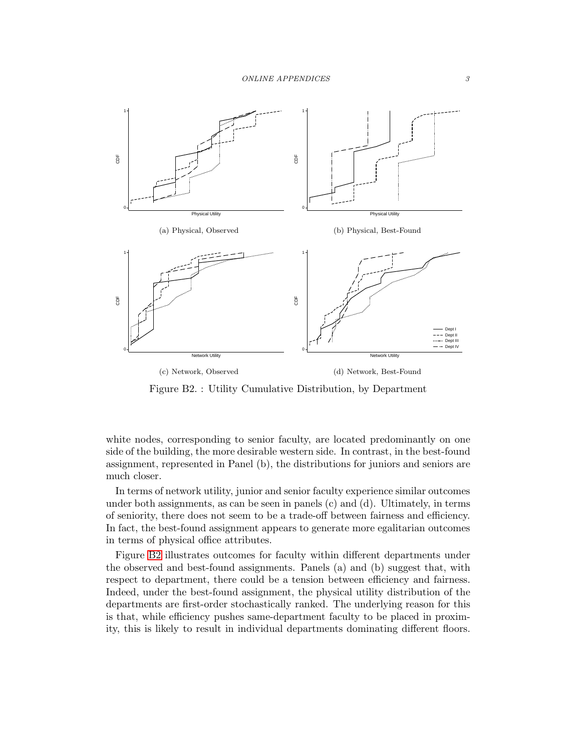<span id="page-2-0"></span>

Figure B2. : Utility Cumulative Distribution, by Department

white nodes, corresponding to senior faculty, are located predominantly on one side of the building, the more desirable western side. In contrast, in the best-found assignment, represented in Panel (b), the distributions for juniors and seniors are much closer.

In terms of network utility, junior and senior faculty experience similar outcomes under both assignments, as can be seen in panels (c) and (d). Ultimately, in terms of seniority, there does not seem to be a trade-off between fairness and efficiency. In fact, the best-found assignment appears to generate more egalitarian outcomes in terms of physical office attributes.

Figure [B2](#page-2-0) illustrates outcomes for faculty within different departments under the observed and best-found assignments. Panels (a) and (b) suggest that, with respect to department, there could be a tension between efficiency and fairness. Indeed, under the best-found assignment, the physical utility distribution of the departments are first-order stochastically ranked. The underlying reason for this is that, while efficiency pushes same-department faculty to be placed in proximity, this is likely to result in individual departments dominating different floors.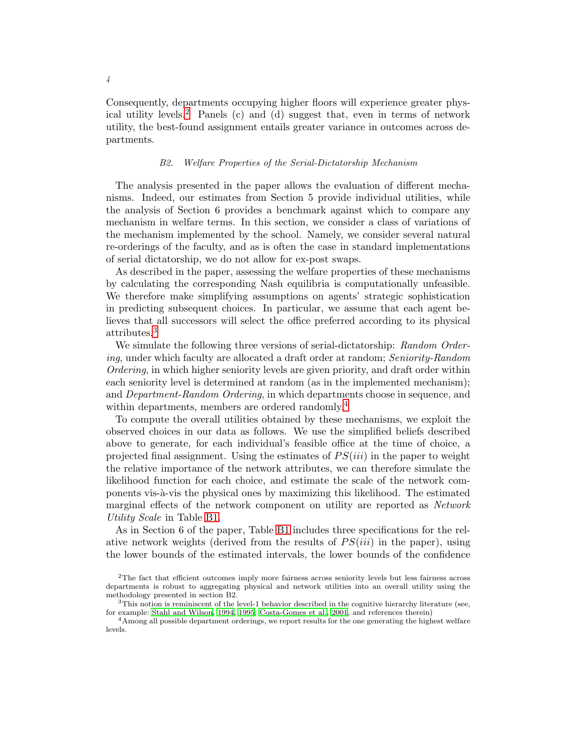Consequently, departments occupying higher floors will experience greater phys-ical utility levels.<sup>[2](#page-3-0)</sup> Panels (c) and (d) suggest that, even in terms of network utility, the best-found assignment entails greater variance in outcomes across departments.

## *B2. Welfare Properties of the Serial-Dictatorship Mechanism*

The analysis presented in the paper allows the evaluation of different mechanisms. Indeed, our estimates from Section 5 provide individual utilities, while the analysis of Section 6 provides a benchmark against which to compare any mechanism in welfare terms. In this section, we consider a class of variations of the mechanism implemented by the school. Namely, we consider several natural re-orderings of the faculty, and as is often the case in standard implementations of serial dictatorship, we do not allow for ex-post swaps.

As described in the paper, assessing the welfare properties of these mechanisms by calculating the corresponding Nash equilibria is computationally unfeasible. We therefore make simplifying assumptions on agents' strategic sophistication in predicting subsequent choices. In particular, we assume that each agent believes that all successors will select the office preferred according to its physical attributes.[3](#page-3-1)

We simulate the following three versions of serial-dictatorship: *Random Ordering*, under which faculty are allocated a draft order at random; *Seniority-Random Ordering*, in which higher seniority levels are given priority, and draft order within each seniority level is determined at random (as in the implemented mechanism); and *Department-Random Ordering*, in which departments choose in sequence, and within departments, members are ordered randomly.[4](#page-3-2)

To compute the overall utilities obtained by these mechanisms, we exploit the observed choices in our data as follows. We use the simplified beliefs described above to generate, for each individual's feasible office at the time of choice, a projected final assignment. Using the estimates of  $PS(iii)$  in the paper to weight the relative importance of the network attributes, we can therefore simulate the likelihood function for each choice, and estimate the scale of the network components vis- $\alpha$ -vis the physical ones by maximizing this likelihood. The estimated marginal effects of the network component on utility are reported as *Network Utility Scale* in Table [B1.](#page-4-0)

As in Section 6 of the paper, Table [B1](#page-4-0) includes three specifications for the relative network weights (derived from the results of  $PS(iii)$  in the paper), using the lower bounds of the estimated intervals, the lower bounds of the confidence

<span id="page-3-0"></span><sup>2</sup>The fact that efficient outcomes imply more fairness across seniority levels but less fairness across departments is robust to aggregating physical and network utilities into an overall utility using the methodology presented in section B2.

<span id="page-3-1"></span><sup>3</sup>This notion is reminiscent of the level-1 behavior described in the cognitive hierarchy literature (see, for example: [Stahl and Wilson](#page-13-1), [1994](#page-13-1), [1995](#page-13-2); [Costa-Gomes et al., 2001](#page-13-3), and references therein)

<span id="page-3-2"></span><sup>4</sup>Among all possible department orderings, we report results for the one generating the highest welfare levels.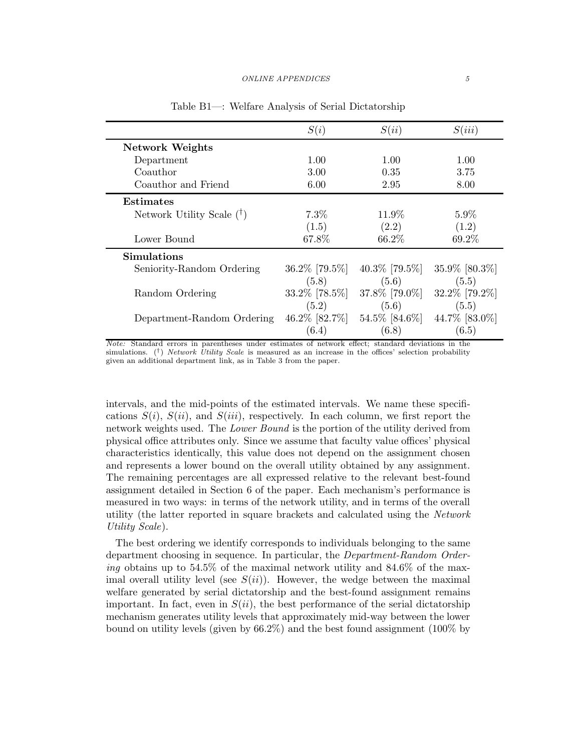<span id="page-4-0"></span>

|                             | S(i)              | S(ii)             | S(iii)        |
|-----------------------------|-------------------|-------------------|---------------|
| Network Weights             |                   |                   |               |
| Department                  | 1.00              | 1.00              | 1.00          |
| Coauthor                    | 3.00              | 0.35              | 3.75          |
| Coauthor and Friend         | 6.00              | 2.95              | 8.00          |
| <b>Estimates</b>            |                   |                   |               |
| Network Utility Scale $(1)$ | $7.3\%$           | 11.9\%            | $5.9\%$       |
|                             | (1.5)             | (2.2)             | (1.2)         |
| Lower Bound                 | 67.8%             | 66.2%             | 69.2%         |
| Simulations                 |                   |                   |               |
| Seniority-Random Ordering   | $36.2\%$ [79.5%]  | 40.3\% [79.5\%]   | 35.9% [80.3%] |
|                             | (5.8)             | (5.6)             | (5.5)         |
| Random Ordering             | $33.2\%$ [78.5\%] | 37.8% [79.0%]     | 32.2% [79.2%] |
|                             | (5.2)             | (5.6)             | (5.5)         |
| Department-Random Ordering  | 46.2\% [82.7\%]   | $54.5\%$ [84.6\%] | 44.7% [83.0%] |
|                             | (6.4)             | (6.8)             | (6.5)         |

Table B1—: Welfare Analysis of Serial Dictatorship

Note: Standard errors in parentheses under estimates of network effect; standard deviations in the simulations.  $(\dagger)$  Network Utility Scale is measured as an increase in the offices' selection probability given an additional department link, as in Table 3 from the paper.

intervals, and the mid-points of the estimated intervals. We name these specifications  $S(i)$ ,  $S(ii)$ , and  $S(iii)$ , respectively. In each column, we first report the network weights used. The *Lower Bound* is the portion of the utility derived from physical office attributes only. Since we assume that faculty value offices' physical characteristics identically, this value does not depend on the assignment chosen and represents a lower bound on the overall utility obtained by any assignment. The remaining percentages are all expressed relative to the relevant best-found assignment detailed in Section 6 of the paper. Each mechanism's performance is measured in two ways: in terms of the network utility, and in terms of the overall utility (the latter reported in square brackets and calculated using the *Network Utility Scale*).

The best ordering we identify corresponds to individuals belonging to the same department choosing in sequence. In particular, the *Department-Random Ordering* obtains up to 54.5% of the maximal network utility and 84.6% of the maximal overall utility level (see  $S(ii)$ ). However, the wedge between the maximal welfare generated by serial dictatorship and the best-found assignment remains important. In fact, even in  $S(ii)$ , the best performance of the serial dictatorship mechanism generates utility levels that approximately mid-way between the lower bound on utility levels (given by 66.2%) and the best found assignment (100% by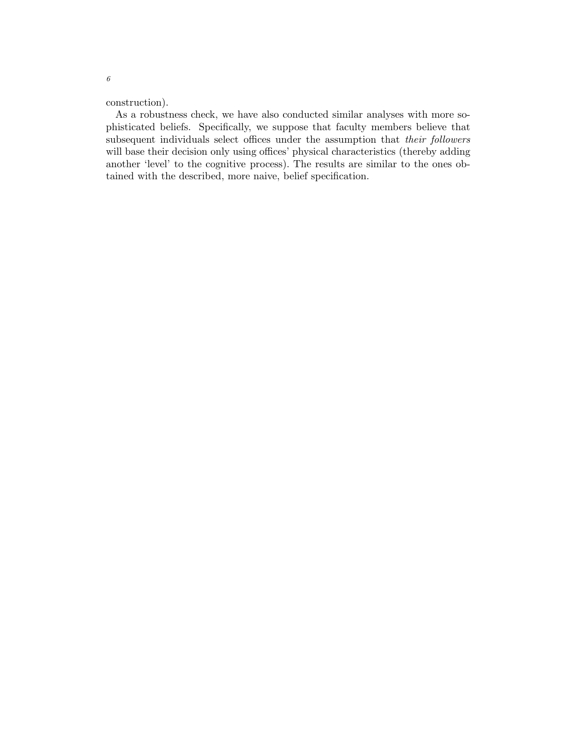construction).

As a robustness check, we have also conducted similar analyses with more sophisticated beliefs. Specifically, we suppose that faculty members believe that subsequent individuals select offices under the assumption that *their followers* will base their decision only using offices' physical characteristics (thereby adding another 'level' to the cognitive process). The results are similar to the ones obtained with the described, more naive, belief specification.

6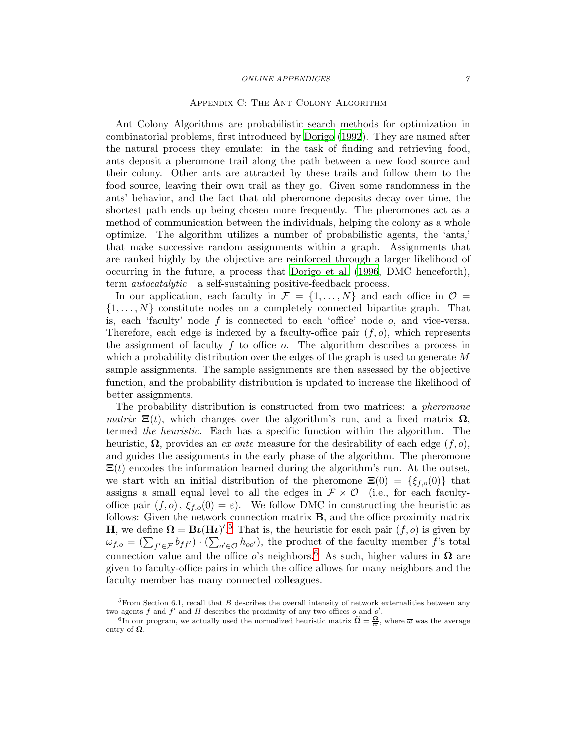#### ONLINE APPENDICES  $\gamma$

## Appendix C: The Ant Colony Algorithm

<span id="page-6-0"></span>Ant Colony Algorithms are probabilistic search methods for optimization in combinatorial problems, first introduced by [Dorigo \(1992](#page-13-4)). They are named after the natural process they emulate: in the task of finding and retrieving food, ants deposit a pheromone trail along the path between a new food source and their colony. Other ants are attracted by these trails and follow them to the food source, leaving their own trail as they go. Given some randomness in the ants' behavior, and the fact that old pheromone deposits decay over time, the shortest path ends up being chosen more frequently. The pheromones act as a method of communication between the individuals, helping the colony as a whole optimize. The algorithm utilizes a number of probabilistic agents, the 'ants,' that make successive random assignments within a graph. Assignments that are ranked highly by the objective are reinforced through a larger likelihood of occurring in the future, a process that [Dorigo et al. \(1996](#page-13-5), DMC henceforth), term *autocatalytic*—a self-sustaining positive-feedback process.

In our application, each faculty in  $\mathcal{F} = \{1, \ldots, N\}$  and each office in  $\mathcal{O} =$  $\{1, \ldots, N\}$  constitute nodes on a completely connected bipartite graph. That is, each 'faculty' node  $f$  is connected to each 'office' node  $o$ , and vice-versa. Therefore, each edge is indexed by a faculty-office pair  $(f, o)$ , which represents the assignment of faculty  $f$  to office  $o$ . The algorithm describes a process in which a probability distribution over the edges of the graph is used to generate  $M$ sample assignments. The sample assignments are then assessed by the objective function, and the probability distribution is updated to increase the likelihood of better assignments.

The probability distribution is constructed from two matrices: a *pheromone matrix*  $\Xi(t)$ , which changes over the algorithm's run, and a fixed matrix  $\Omega$ , termed *the heuristic*. Each has a specific function within the algorithm. The heuristic,  $\Omega$ , provides an *ex ante* measure for the desirability of each edge  $(f, o)$ , and guides the assignments in the early phase of the algorithm. The pheromone  $\Xi(t)$  encodes the information learned during the algorithm's run. At the outset, we start with an initial distribution of the pheromone  $\Xi(0) = {\xi_{f,o}(0)}$  that assigns a small equal level to all the edges in  $\mathcal{F} \times \mathcal{O}$  (i.e., for each facultyoffice pair  $(f, o)$ ,  $\xi_{f, o}(0) = \varepsilon$ . We follow DMC in constructing the heuristic as follows: Given the network connection matrix B, and the office proximity matrix **H**, we define  $\mathbf{\Omega} = \mathbf{B} \boldsymbol{\iota} (\mathbf{H} \boldsymbol{\iota})^{\prime}$ .<sup>[5](#page-6-1)</sup> That is, the heuristic for each pair  $(f, o)$  is given by  $\omega_{f,o} = (\sum_{f' \in \mathcal{F}} b_{ff'}) \cdot (\sum_{o' \in \mathcal{O}} h_{oo'})$ , the product of the faculty member f's total connection value and the office o's neighbors.<sup>[6](#page-6-2)</sup> As such, higher values in  $\Omega$  are given to faculty-office pairs in which the office allows for many neighbors and the faculty member has many connected colleagues.

<span id="page-6-1"></span> $5$ From Section 6.1, recall that B describes the overall intensity of network externalities between any two agents  $f$  and  $f'$  and  $H$  describes the proximity of any two offices  $o$  and  $o'$ .

<span id="page-6-2"></span><sup>&</sup>lt;sup>6</sup>In our program, we actually used the normalized heuristic matrix  $\tilde{\Omega} = \frac{\Omega}{\omega}$ , where  $\overline{\omega}$  was the average entry of  $\Omega$ .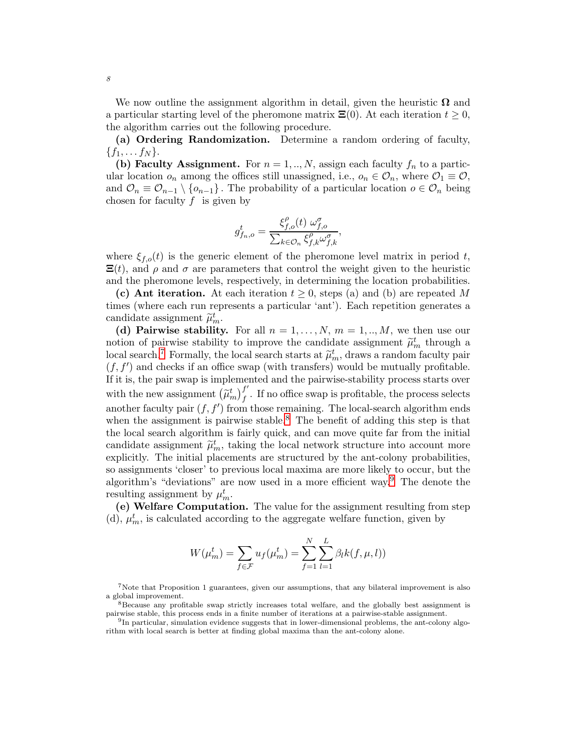We now outline the assignment algorithm in detail, given the heuristic  $\Omega$  and a particular starting level of the pheromone matrix  $\Xi(0)$ . At each iteration  $t \geq 0$ , the algorithm carries out the following procedure.

(a) Ordering Randomization. Determine a random ordering of faculty,  ${f_1, \ldots f_N}.$ 

(b) Faculty Assignment. For  $n = 1, ..., N$ , assign each faculty  $f_n$  to a particular location  $o_n$  among the offices still unassigned, i.e.,  $o_n \in \mathcal{O}_n$ , where  $\mathcal{O}_1 \equiv \mathcal{O}$ , and  $\mathcal{O}_n \equiv \mathcal{O}_{n-1} \setminus \{o_{n-1}\}\.$  The probability of a particular location  $o \in \mathcal{O}_n$  being chosen for faculty  $f$  is given by

$$
g_{f_n,o}^t = \frac{\xi_{f,o}^\rho(t) \ \omega_{f,o}^\sigma}{\sum_{k \in \mathcal{O}_n} \xi_{f,k}^\rho \omega_{f,k}^\sigma},
$$

where  $\xi_{f,o}(t)$  is the generic element of the pheromone level matrix in period t,  $\Xi(t)$ , and  $\rho$  and  $\sigma$  are parameters that control the weight given to the heuristic and the pheromone levels, respectively, in determining the location probabilities.

(c) Ant iteration. At each iteration  $t \geq 0$ , steps (a) and (b) are repeated M times (where each run represents a particular 'ant'). Each repetition generates a candidate assignment  $\tilde{\mu}_m^t$ .

(d) Pairwise stability. For all  $n = 1, ..., N$ ,  $m = 1, ..., M$ , we then use our notion of pairwise stability to improve the candidate assignment  $\tilde{\mu}_m^t$  through a<br>decedence  $\tilde{\lambda}$ . Formally the lead asset starte of  $\tilde{\lambda}^t$  decrees and an feature in local search.<sup>[7](#page-7-0)</sup> Formally, the local search starts at  $\tilde{\mu}_m^t$ , draws a random faculty pair  $(f, f')$  and checks if an office swap (with transfers) would be mutually profitable. If it is, the pair swap is implemented and the pairwise-stability process starts over with the new assignment  $(\widetilde{\mu}_m^t)_f^{f'}$  $f$ . If no office swap is profitable, the process selects another faculty pair  $(f, f')$  from those remaining. The local-search algorithm ends when the assignment is pairwise stable.<sup>[8](#page-7-1)</sup> The benefit of adding this step is that the local search algorithm is fairly quick, and can move quite far from the initial candidate assignment  $\tilde{\mu}_m^t$ , taking the local network structure into account more explicitly. The initial placements are structured by the ant-colony probabilities, so assignments 'closer' to previous local maxima are more likely to occur, but the algorithm's "deviations" are now used in a more efficient way.<sup>[9](#page-7-2)</sup> The denote the resulting assignment by  $\mu_m^t$ .

(e) Welfare Computation. The value for the assignment resulting from step (d),  $\mu_m^t$ , is calculated according to the aggregate welfare function, given by

$$
W(\mu_m^t) = \sum_{f \in \mathcal{F}} u_f(\mu_m^t) = \sum_{f=1}^N \sum_{l=1}^L \beta_l k(f, \mu, l))
$$

<span id="page-7-0"></span><sup>7</sup>Note that Proposition 1 guarantees, given our assumptions, that any bilateral improvement is also a global improvement.

<sup>8</sup>Because any profitable swap strictly increases total welfare, and the globally best assignment is pairwise stable, this process ends in a finite number of iterations at a pairwise-stable assignment.

<span id="page-7-2"></span><span id="page-7-1"></span><sup>&</sup>lt;sup>9</sup>In particular, simulation evidence suggests that in lower-dimensional problems, the ant-colony algorithm with local search is better at finding global maxima than the ant-colony alone.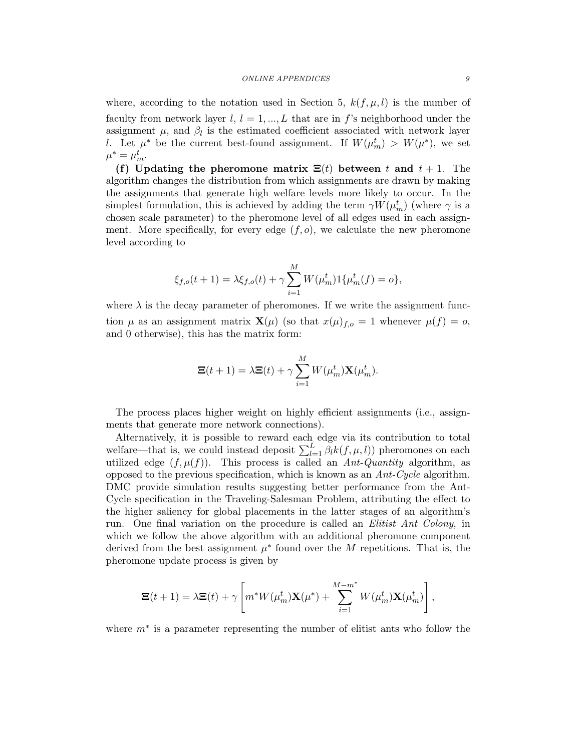#### ONLINE APPENDICES 9

where, according to the notation used in Section 5,  $k(f, \mu, l)$  is the number of faculty from network layer  $l, l = 1, ..., L$  that are in f's neighborhood under the assignment  $\mu$ , and  $\beta_l$  is the estimated coefficient associated with network layer l. Let  $\mu^*$  be the current best-found assignment. If  $W(\mu_m^t) > W(\mu^*)$ , we set  $\mu^* = \mu_m^t$ .

(f) Updating the pheromone matrix  $\Xi(t)$  between t and  $t + 1$ . The algorithm changes the distribution from which assignments are drawn by making the assignments that generate high welfare levels more likely to occur. In the simplest formulation, this is achieved by adding the term  $\gamma W(\mu_m^t)$  (where  $\gamma$  is a chosen scale parameter) to the pheromone level of all edges used in each assignment. More specifically, for every edge  $(f, o)$ , we calculate the new pheromone level according to

$$
\xi_{f,o}(t+1) = \lambda \xi_{f,o}(t) + \gamma \sum_{i=1}^{M} W(\mu_m^t) \mathbf{1} \{ \mu_m^t(f) = o \},
$$

where  $\lambda$  is the decay parameter of pheromones. If we write the assignment function  $\mu$  as an assignment matrix  $\mathbf{X}(\mu)$  (so that  $x(\mu)_{f,o} = 1$  whenever  $\mu(f) = o$ , and 0 otherwise), this has the matrix form:

$$
\Xi(t+1) = \lambda \Xi(t) + \gamma \sum_{i=1}^{M} W(\mu_m^t) \mathbf{X}(\mu_m^t).
$$

The process places higher weight on highly efficient assignments (i.e., assignments that generate more network connections).

Alternatively, it is possible to reward each edge via its contribution to total welfare—that is, we could instead deposit  $\sum_{l=1}^{L} \beta_l k(f, \mu, l)$  pheromones on each utilized edge  $(f, \mu(f))$ . This process is called an *Ant-Quantity* algorithm, as opposed to the previous specification, which is known as an *Ant-Cycle* algorithm. DMC provide simulation results suggesting better performance from the Ant-Cycle specification in the Traveling-Salesman Problem, attributing the effect to the higher saliency for global placements in the latter stages of an algorithm's run. One final variation on the procedure is called an *Elitist Ant Colony*, in which we follow the above algorithm with an additional pheromone component derived from the best assignment  $\mu^*$  found over the M repetitions. That is, the pheromone update process is given by

$$
\Xi(t+1) = \lambda \Xi(t) + \gamma \left[ m^* W(\mu_m^t) \mathbf{X}(\mu^*) + \sum_{i=1}^{M-m^*} W(\mu_m^t) \mathbf{X}(\mu_m^t) \right],
$$

where  $m^*$  is a parameter representing the number of elitist ants who follow the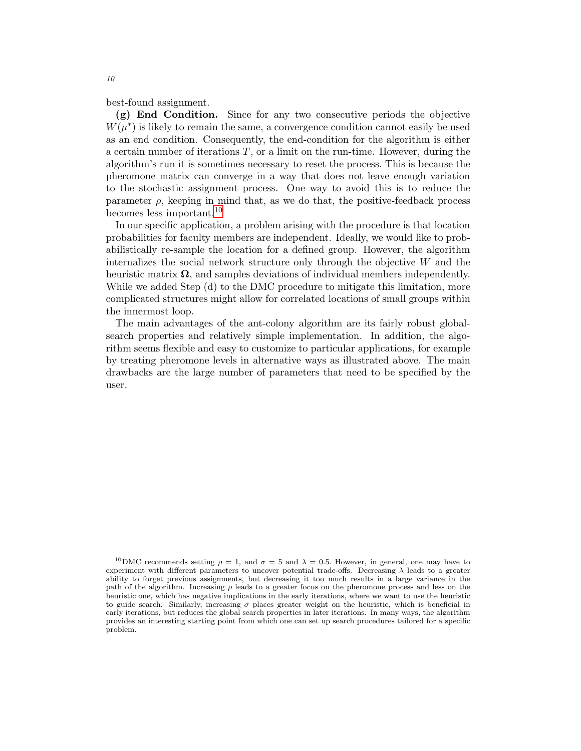best-found assignment.

(g) End Condition. Since for any two consecutive periods the objective  $W(\mu^*)$  is likely to remain the same, a convergence condition cannot easily be used as an end condition. Consequently, the end-condition for the algorithm is either a certain number of iterations  $T$ , or a limit on the run-time. However, during the algorithm's run it is sometimes necessary to reset the process. This is because the pheromone matrix can converge in a way that does not leave enough variation to the stochastic assignment process. One way to avoid this is to reduce the parameter  $\rho$ , keeping in mind that, as we do that, the positive-feedback process becomes less important.<sup>[10](#page-9-0)</sup>

In our specific application, a problem arising with the procedure is that location probabilities for faculty members are independent. Ideally, we would like to probabilistically re-sample the location for a defined group. However, the algorithm internalizes the social network structure only through the objective W and the heuristic matrix  $\Omega$ , and samples deviations of individual members independently. While we added Step (d) to the DMC procedure to mitigate this limitation, more complicated structures might allow for correlated locations of small groups within the innermost loop.

The main advantages of the ant-colony algorithm are its fairly robust globalsearch properties and relatively simple implementation. In addition, the algorithm seems flexible and easy to customize to particular applications, for example by treating pheromone levels in alternative ways as illustrated above. The main drawbacks are the large number of parameters that need to be specified by the user.

<span id="page-9-0"></span><sup>&</sup>lt;sup>10</sup>DMC recommends setting  $\rho = 1$ , and  $\sigma = 5$  and  $\lambda = 0.5$ . However, in general, one may have to experiment with different parameters to uncover potential trade-offs. Decreasing  $\lambda$  leads to a greater ability to forget previous assignments, but decreasing it too much results in a large variance in the path of the algorithm. Increasing  $\rho$  leads to a greater focus on the pheromone process and less on the heuristic one, which has negative implications in the early iterations, where we want to use the heuristic to guide search. Similarly, increasing  $\sigma$  places greater weight on the heuristic, which is beneficial in early iterations, but reduces the global search properties in later iterations. In many ways, the algorithm provides an interesting starting point from which one can set up search procedures tailored for a specific problem.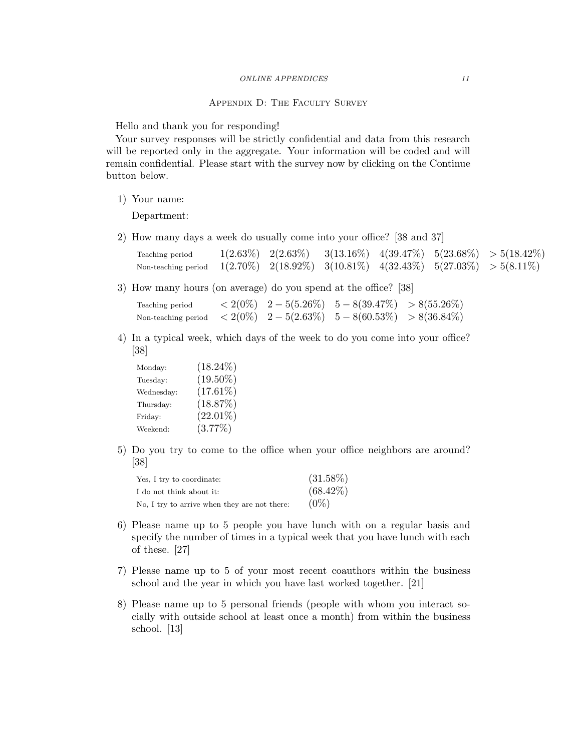## Appendix D: The Faculty Survey

<span id="page-10-0"></span>Hello and thank you for responding!

Your survey responses will be strictly confidential and data from this research will be reported only in the aggregate. Your information will be coded and will remain confidential. Please start with the survey now by clicking on the Continue button below.

1) Your name:

Department:

2) How many days a week do usually come into your office? [38 and 37]

| Teaching period                                                                                  |  |  | $1(2.63\%)$ $2(2.63\%)$ $3(13.16\%)$ $4(39.47\%)$ $5(23.68\%)$ $>5(18.42\%)$ |
|--------------------------------------------------------------------------------------------------|--|--|------------------------------------------------------------------------------|
| Non-teaching period $1(2.70\%)$ $2(18.92\%)$ $3(10.81\%)$ $4(32.43\%)$ $5(27.03\%)$ $>5(8.11\%)$ |  |  |                                                                              |

3) How many hours (on average) do you spend at the office? [38]

Teaching period  $\langle 2(0\%), 2-5(5.26\%) \quad 5-8(39.47\%) > 8(55.26\%)$ Non-teaching period  $\langle 2(0\%), 2-5(2.63\%), 5-8(60.53\%) \rangle > 8(36.84\%)$ 

4) In a typical week, which days of the week to do you come into your office? [38]

| Monday:    | $(18.24\%)$ |
|------------|-------------|
| Tuesday:   | $(19.50\%)$ |
| Wednesday: | $(17.61\%)$ |
| Thursday:  | (18.87%)    |
| Friday:    | $(22.01\%)$ |
| Weekend:   | (3.77%)     |

5) Do you try to come to the office when your office neighbors are around? [38]

| Yes, I try to coordinate:                    | $(31.58\%)$ |
|----------------------------------------------|-------------|
| I do not think about it:                     | $(68.42\%)$ |
| No, I try to arrive when they are not there. | $(0\%)$     |

- 6) Please name up to 5 people you have lunch with on a regular basis and specify the number of times in a typical week that you have lunch with each of these. [27]
- 7) Please name up to 5 of your most recent coauthors within the business school and the year in which you have last worked together. [21]
- 8) Please name up to 5 personal friends (people with whom you interact socially with outside school at least once a month) from within the business school. [13]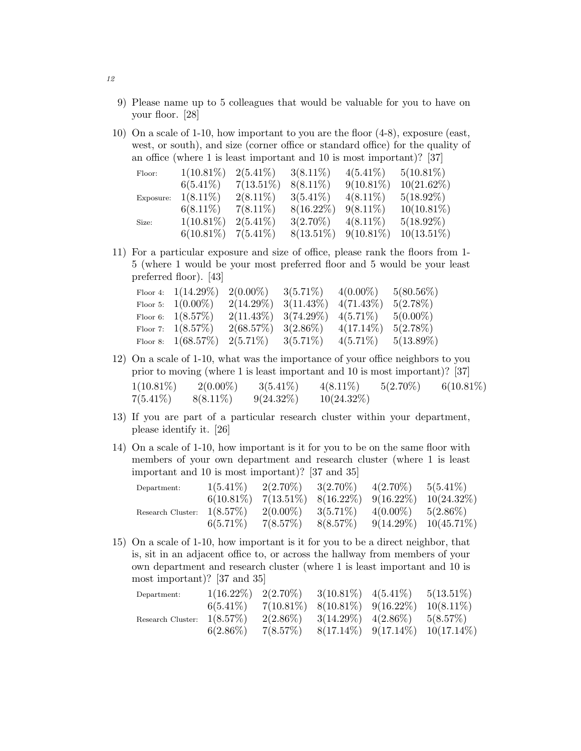- 9) Please name up to 5 colleagues that would be valuable for you to have on your floor. [28]
- 10) On a scale of 1-10, how important to you are the floor (4-8), exposure (east, west, or south), and size (corner office or standard office) for the quality of an office (where 1 is least important and 10 is most important)? [37]

| Floor:    | $1(10.81\%)$ | $2(5.41\%)$  | $3(8.11\%)$  | $4(5.41\%)$  | $5(10.81\%)$  |
|-----------|--------------|--------------|--------------|--------------|---------------|
|           | $6(5.41\%)$  | $7(13.51\%)$ | $8(8.11\%)$  | $9(10.81\%)$ | $10(21.62\%)$ |
| Exposure: | $1(8.11\%)$  | $2(8.11\%)$  | $3(5.41\%)$  | $4(8.11\%)$  | $5(18.92\%)$  |
|           | $6(8.11\%)$  | $7(8.11\%)$  | $8(16.22\%)$ | $9(8.11\%)$  | $10(10.81\%)$ |
| Size:     | $1(10.81\%)$ | $2(5.41\%)$  | $3(2.70\%)$  | $4(8.11\%)$  | $5(18.92\%)$  |
|           | $6(10.81\%)$ | $7(5.41\%)$  | $8(13.51\%)$ | $9(10.81\%)$ | $10(13.51\%)$ |

11) For a particular exposure and size of office, please rank the floors from 1- 5 (where 1 would be your most preferred floor and 5 would be your least preferred floor). [43]

| Floor 4: $1(14.29\%)$ | $2(0.00\%)$               | $3(5.71\%)$ | $4(0.00\%)$  | $5(80.56\%)$ |
|-----------------------|---------------------------|-------------|--------------|--------------|
| Floor 5: $1(0.00\%)$  | $2(14.29\%)$ $3(11.43\%)$ |             | $4(71.43\%)$ | $5(2.78\%)$  |
| Floor 6: $1(8.57\%)$  | $2(11.43\%)$ $3(74.29\%)$ |             | $4(5.71\%)$  | $5(0.00\%)$  |
| Floor 7: $1(8.57\%)$  | $2(68.57\%)$ $3(2.86\%)$  |             | $4(17.14\%)$ | $5(2.78\%)$  |
| Floor 8: $1(68.57%)$  | $2(5.71\%)$ $3(5.71\%)$   |             | $4(5.71\%)$  | $5(13.89\%)$ |

- 12) On a scale of 1-10, what was the importance of your office neighbors to you prior to moving (where 1 is least important and 10 is most important)? [37]  $1(10.81\%)$   $2(0.00\%)$   $3(5.41\%)$   $4(8.11\%)$   $5(2.70\%)$   $6(10.81\%)$  $7(5.41\%) \qquad 8(8.11\%) \qquad 9(24.32\%) \qquad 10(24.32\%)$
- 13) If you are part of a particular research cluster within your department, please identify it. [26]
- 14) On a scale of 1-10, how important is it for you to be on the same floor with members of your own department and research cluster (where 1 is least important and 10 is most important)? [37 and 35]

| Department:                   | $1(5.41\%)$  | $2(2.70\%)$ | $3(2.70\%)$                                    | $4(2.70\%)$  | $5(5.41\%)$   |
|-------------------------------|--------------|-------------|------------------------------------------------|--------------|---------------|
|                               | $6(10.81\%)$ |             | $7(13.51\%) \quad 8(16.22\%) \quad 9(16.22\%)$ |              | $10(24.32\%)$ |
| Research Cluster: $1(8.57\%)$ |              | $2(0.00\%)$ | $3(5.71\%)$                                    | $4(0.00\%)$  | $5(2.86\%)$   |
|                               | $6(5.71\%)$  | 7(8.57%)    | 8(8.57%)                                       | $9(14.29\%)$ | $10(45.71\%)$ |

15) On a scale of 1-10, how important is it for you to be a direct neighbor, that is, sit in an adjacent office to, or across the hallway from members of your own department and research cluster (where 1 is least important and 10 is most important)? [37 and 35]

| Department:                   |             |          | $1(16.22\%)$ $2(2.70\%)$ $3(10.81\%)$ $4(5.41\%)$               | $5(13.51\%)$ |
|-------------------------------|-------------|----------|-----------------------------------------------------------------|--------------|
|                               |             |          | $6(5.41\%)$ $7(10.81\%)$ $8(10.81\%)$ $9(16.22\%)$ $10(8.11\%)$ |              |
| Research Cluster: $1(8.57\%)$ |             |          | $2(2.86\%)$ $3(14.29\%)$ $4(2.86\%)$ $5(8.57\%)$                |              |
|                               | $6(2.86\%)$ | 7(8.57%) | $8(17.14\%)$ $9(17.14\%)$ $10(17.14\%)$                         |              |

12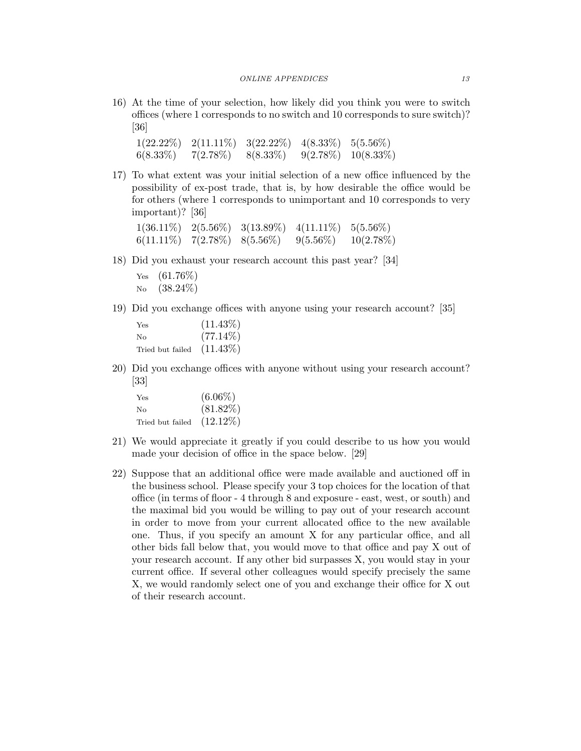16) At the time of your selection, how likely did you think you were to switch offices (where 1 corresponds to no switch and 10 corresponds to sure switch)? [36]

| $1(22.22\%)$ | $2(11.11\%)$ | $3(22.22\%)$ | $4(8.33\%)$ | $5(5.56\%)$  |
|--------------|--------------|--------------|-------------|--------------|
| $6(8.33\%)$  | $7(2.78\%)$  | $8(8.33\%)$  | $9(2.78\%)$ | $10(8.33\%)$ |

17) To what extent was your initial selection of a new office influenced by the possibility of ex-post trade, that is, by how desirable the office would be for others (where 1 corresponds to unimportant and 10 corresponds to very important)? [36]

|              |                         | $1(36.11\%) \quad 2(5.56\%) \quad 3(13.89\%)$ | $4(11.11\%) \quad 5(5.56\%)$ |              |
|--------------|-------------------------|-----------------------------------------------|------------------------------|--------------|
| $6(11.11\%)$ | $7(2.78\%)$ $8(5.56\%)$ |                                               | $9(5.56\%)$                  | $10(2.78\%)$ |

- 18) Did you exhaust your research account this past year? [34]
	- Yes  $(61.76\%)$ No (38.24%)
- 19) Did you exchange offices with anyone using your research account? [35]

| Yes              | $(11.43\%)$ |
|------------------|-------------|
| No               | $(77.14\%)$ |
| Tried but failed | $(11.43\%)$ |

20) Did you exchange offices with anyone without using your research account? [33]

| Yes              | $(6.06\%)$  |
|------------------|-------------|
| No               | $(81.82\%)$ |
| Tried but failed | $(12.12\%)$ |

- 21) We would appreciate it greatly if you could describe to us how you would made your decision of office in the space below. [29]
- 22) Suppose that an additional office were made available and auctioned off in the business school. Please specify your 3 top choices for the location of that office (in terms of floor - 4 through 8 and exposure - east, west, or south) and the maximal bid you would be willing to pay out of your research account in order to move from your current allocated office to the new available one. Thus, if you specify an amount X for any particular office, and all other bids fall below that, you would move to that office and pay X out of your research account. If any other bid surpasses X, you would stay in your current office. If several other colleagues would specify precisely the same X, we would randomly select one of you and exchange their office for X out of their research account.